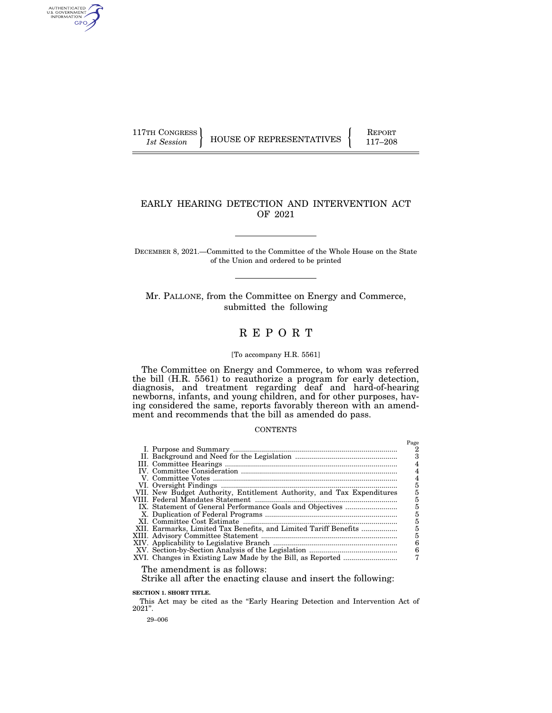AUTHENTICATED<br>U.S. GOVERNMENT<br>INFORMATION GPO

117TH CONGRESS HOUSE OF REPRESENTATIVES FEPORT 117-208

## EARLY HEARING DETECTION AND INTERVENTION ACT OF 2021

DECEMBER 8, 2021.—Committed to the Committee of the Whole House on the State of the Union and ordered to be printed

Mr. PALLONE, from the Committee on Energy and Commerce, submitted the following

# R E P O R T

### [To accompany H.R. 5561]

The Committee on Energy and Commerce, to whom was referred the bill (H.R. 5561) to reauthorize a program for early detection, diagnosis, and treatment regarding deaf and hard-of-hearing newborns, infants, and young children, and for other purposes, having considered the same, reports favorably thereon with an amendment and recommends that the bill as amended do pass.

#### **CONTENTS**

|                                                                        | Page |
|------------------------------------------------------------------------|------|
|                                                                        | 2    |
|                                                                        | 3    |
|                                                                        |      |
|                                                                        | 4    |
|                                                                        | 4    |
|                                                                        | 5    |
| VII. New Budget Authority, Entitlement Authority, and Tax Expenditures |      |
|                                                                        | 5    |
|                                                                        | 5    |
|                                                                        | 5    |
|                                                                        | 5    |
| XII. Earmarks, Limited Tax Benefits, and Limited Tariff Benefits       | 5    |
|                                                                        | 5    |
|                                                                        | 6    |
|                                                                        | 6    |
|                                                                        |      |
|                                                                        |      |

The amendment is as follows:

Strike all after the enacting clause and insert the following:

**SECTION 1. SHORT TITLE.** 

This Act may be cited as the "Early Hearing Detection and Intervention Act of 2021''.

29–006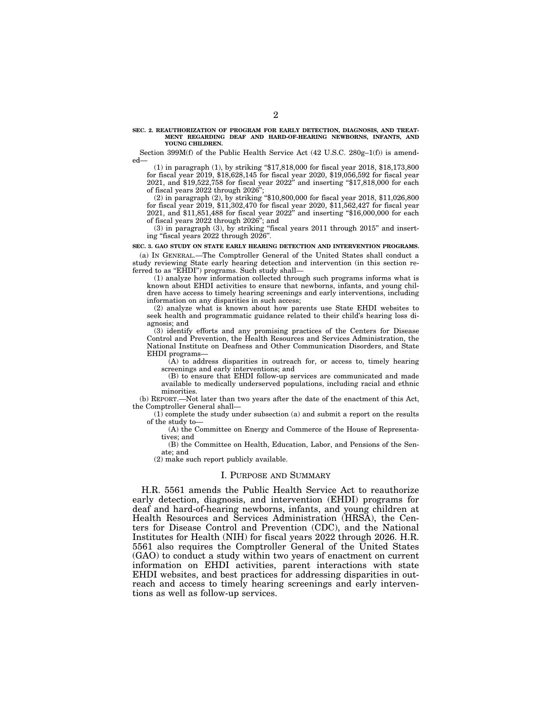#### **SEC. 2. REAUTHORIZATION OF PROGRAM FOR EARLY DETECTION, DIAGNOSIS, AND TREAT-MENT REGARDING DEAF AND HARD-OF-HEARING NEWBORNS, INFANTS, AND YOUNG CHILDREN.**

Section 399M(f) of the Public Health Service Act (42 U.S.C. 280g–1(f)) is amended—

(1) in paragraph (1), by striking ''\$17,818,000 for fiscal year 2018, \$18,173,800 for fiscal year 2019, \$18,628,145 for fiscal year 2020, \$19,056,592 for fiscal year 2021, and \$19,522,758 for fiscal year 2022'' and inserting ''\$17,818,000 for each of fiscal years 2022 through 2026'';

(2) in paragraph (2), by striking ''\$10,800,000 for fiscal year 2018, \$11,026,800 for fiscal year 2019, \$11,302,470 for fiscal year 2020, \$11,562,427 for fiscal year 2021, and \$11,851,488 for fiscal year 2022'' and inserting ''\$16,000,000 for each of fiscal years 2022 through 2026''; and

 $(3)$  in paragraph  $(3)$ , by striking "fiscal years 2011 through 2015" and inserting ''fiscal years 2022 through 2026''.

**SEC. 3. GAO STUDY ON STATE EARLY HEARING DETECTION AND INTERVENTION PROGRAMS.** 

(a) IN GENERAL.—The Comptroller General of the United States shall conduct a study reviewing State early hearing detection and intervention (in this section referred to as "EHDI") programs. Such study shall-

(1) analyze how information collected through such programs informs what is known about EHDI activities to ensure that newborns, infants, and young children have access to timely hearing screenings and early interventions, including information on any disparities in such access;

(2) analyze what is known about how parents use State EHDI websites to seek health and programmatic guidance related to their child's hearing loss diagnosis; and

(3) identify efforts and any promising practices of the Centers for Disease Control and Prevention, the Health Resources and Services Administration, the National Institute on Deafness and Other Communication Disorders, and State EHDI programs—

(A) to address disparities in outreach for, or access to, timely hearing screenings and early interventions; and

(B) to ensure that EHDI follow-up services are communicated and made available to medically underserved populations, including racial and ethnic minorities.

(b) REPORT.—Not later than two years after the date of the enactment of this Act, the Comptroller General shall—

 $(1)$  complete the study under subsection  $(a)$  and submit a report on the results of the study to—

(A) the Committee on Energy and Commerce of the House of Representatives; and

(B) the Committee on Health, Education, Labor, and Pensions of the Senate; and

(2) make such report publicly available.

### I. PURPOSE AND SUMMARY

H.R. 5561 amends the Public Health Service Act to reauthorize early detection, diagnosis, and intervention (EHDI) programs for deaf and hard-of-hearing newborns, infants, and young children at Health Resources and Services Administration (HRSA), the Centers for Disease Control and Prevention (CDC), and the National Institutes for Health (NIH) for fiscal years 2022 through 2026. H.R. 5561 also requires the Comptroller General of the United States (GAO) to conduct a study within two years of enactment on current information on EHDI activities, parent interactions with state EHDI websites, and best practices for addressing disparities in outreach and access to timely hearing screenings and early interventions as well as follow-up services.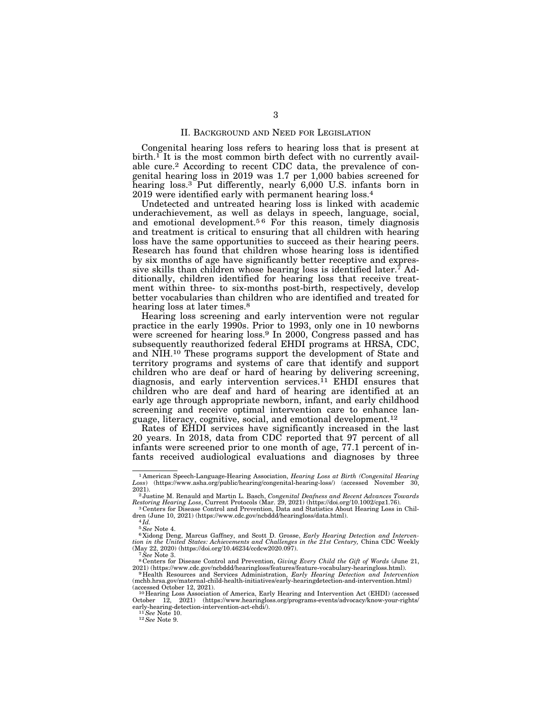### II. BACKGROUND AND NEED FOR LEGISLATION

Congenital hearing loss refers to hearing loss that is present at birth.<sup>1</sup> It is the most common birth defect with no currently available cure.2 According to recent CDC data, the prevalence of congenital hearing loss in 2019 was 1.7 per 1,000 babies screened for hearing loss.<sup>3</sup> Put differently, nearly 6,000 U.S. infants born in 2019 were identified early with permanent hearing loss.4

Undetected and untreated hearing loss is linked with academic underachievement, as well as delays in speech, language, social, and emotional development.<sup>56</sup> For this reason, timely diagnosis and treatment is critical to ensuring that all children with hearing loss have the same opportunities to succeed as their hearing peers. Research has found that children whose hearing loss is identified by six months of age have significantly better receptive and expressive skills than children whose hearing loss is identified later.<sup>7</sup> Additionally, children identified for hearing loss that receive treatment within three- to six-months post-birth, respectively, develop better vocabularies than children who are identified and treated for hearing loss at later times.<sup>8</sup>

Hearing loss screening and early intervention were not regular practice in the early 1990s. Prior to 1993, only one in 10 newborns were screened for hearing loss.9 In 2000, Congress passed and has subsequently reauthorized federal EHDI programs at HRSA, CDC, and NIH.10 These programs support the development of State and territory programs and systems of care that identify and support children who are deaf or hard of hearing by delivering screening, diagnosis, and early intervention services.<sup>11</sup> EHDI ensures that children who are deaf and hard of hearing are identified at an early age through appropriate newborn, infant, and early childhood screening and receive optimal intervention care to enhance language, literacy, cognitive, social, and emotional development.12

Rates of EHDI services have significantly increased in the last 20 years. In 2018, data from CDC reported that 97 percent of all infants were screened prior to one month of age, 77.1 percent of infants received audiological evaluations and diagnoses by three

<sup>1</sup> American Speech-Language-Hearing Association, *Hearing Loss at Birth (Congenital Hearing Loss*) (https://www.asha.org/public/hearing/congenital-hearing-loss/) (accessed November 30,

<sup>2021). 2</sup> Justine M. Renauld and Martin L. Basch, *Congenital Deafness and Recent Advances Towards Restoring Hearing Loss*, Current Protocols (Mar. 29, 2021) (https://doi.org/10.1002/cpz1.76). 3 Centers for Disease Control and Prevention, Data and Statistics About Hearing Loss in Chil-

dren (June 10, 2021) (https://www.cdc.gov/ncbddd/hearingloss/data.html).<br><sup>4</sup>Id. <sup>5</sup> See Note 4.

<sup>5</sup>*See* Note 4. 6 Xidong Deng, Marcus Gaffney, and Scott D. Grosse, *Early Hearing Detection and Intervention in the United States: Achievements and Challenges in the 21st Century, China CDC Weekly* (May 22, 2020) (https://doi.org/10.46234/ccdcw2020.097).

<sup>&</sup>lt;sup>7</sup> See Note 3. 8 Centers for Disease Control and Prevention, *Giving Every Child the Gift of Words* (June 21,  $2021$ ) (https://www.cdc.gov/ncbddd/hearingloss/features/feature-vocabulary-hearingloss.html).

<sup>&</sup>lt;sup>9</sup> Health Resources and Services Administration, *Early Hearing Detection and Intervention* (mchb.hrsa.gov/maternal-child-health-initiatives/early-hearingdetection-and-intervention.html)

<sup>(</sup>accessed October 12, 2021).<br>
<sup>10</sup> Hearing Loss Association of America, Early Hearing and Intervention Act (EHDI) (accessed October 12, 2021) (https://www.hearingloss.org/programs-events/advocacy/know-your-rights/<br>
early-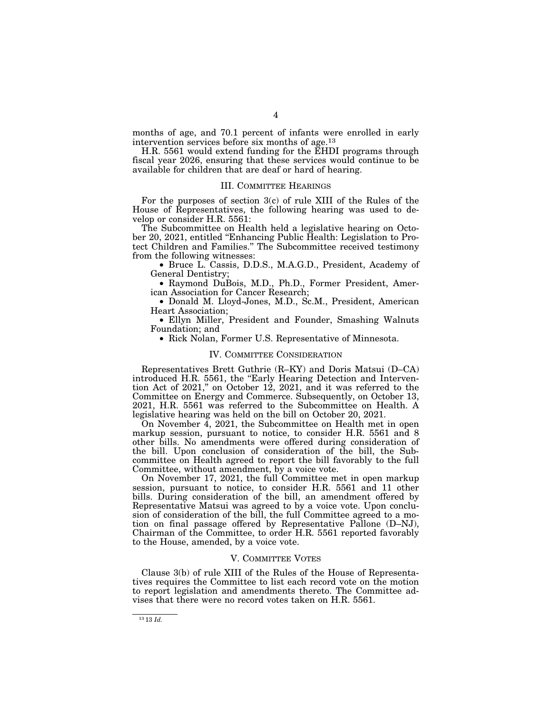months of age, and 70.1 percent of infants were enrolled in early intervention services before six months of age.13

H.R. 5561 would extend funding for the EHDI programs through fiscal year 2026, ensuring that these services would continue to be available for children that are deaf or hard of hearing.

### III. COMMITTEE HEARINGS

For the purposes of section 3(c) of rule XIII of the Rules of the House of Representatives, the following hearing was used to develop or consider H.R. 5561:

The Subcommittee on Health held a legislative hearing on October 20, 2021, entitled ''Enhancing Public Health: Legislation to Protect Children and Families.'' The Subcommittee received testimony from the following witnesses:

• Bruce L. Cassis, D.D.S., M.A.G.D., President, Academy of General Dentistry;

• Raymond DuBois, M.D., Ph.D., Former President, American Association for Cancer Research;

• Donald M. Lloyd-Jones, M.D., Sc.M., President, American Heart Association;

• Ellyn Miller, President and Founder, Smashing Walnuts Foundation; and

• Rick Nolan, Former U.S. Representative of Minnesota.

#### IV. COMMITTEE CONSIDERATION

Representatives Brett Guthrie (R–KY) and Doris Matsui (D–CA) introduced H.R. 5561, the ''Early Hearing Detection and Intervention Act of 2021,'' on October 12, 2021, and it was referred to the Committee on Energy and Commerce. Subsequently, on October 13, 2021, H.R. 5561 was referred to the Subcommittee on Health. A legislative hearing was held on the bill on October 20, 2021.

On November 4, 2021, the Subcommittee on Health met in open markup session, pursuant to notice, to consider H.R. 5561 and 8 other bills. No amendments were offered during consideration of the bill. Upon conclusion of consideration of the bill, the Subcommittee on Health agreed to report the bill favorably to the full Committee, without amendment, by a voice vote.

On November 17, 2021, the full Committee met in open markup session, pursuant to notice, to consider H.R. 5561 and 11 other bills. During consideration of the bill, an amendment offered by Representative Matsui was agreed to by a voice vote. Upon conclusion of consideration of the bill, the full Committee agreed to a motion on final passage offered by Representative Pallone (D–NJ), Chairman of the Committee, to order H.R. 5561 reported favorably to the House, amended, by a voice vote.

#### V. COMMITTEE VOTES

Clause 3(b) of rule XIII of the Rules of the House of Representatives requires the Committee to list each record vote on the motion to report legislation and amendments thereto. The Committee advises that there were no record votes taken on H.R. 5561.

<sup>13</sup> 13 *Id.*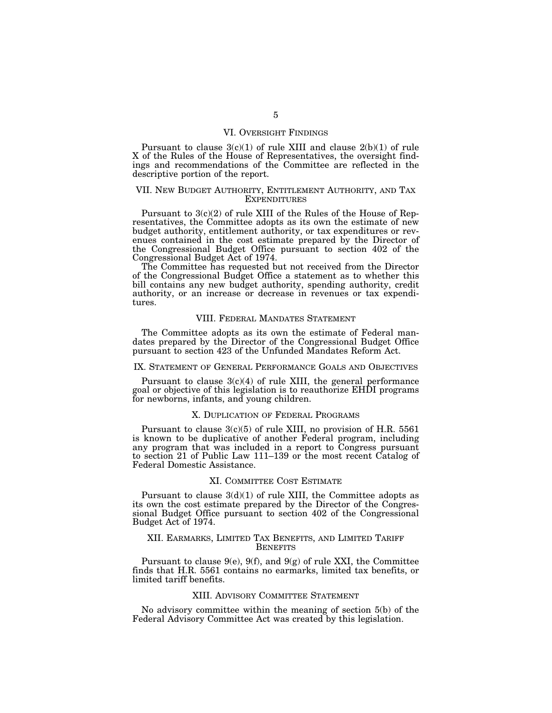### VI. OVERSIGHT FINDINGS

Pursuant to clause  $3(c)(1)$  of rule XIII and clause  $2(b)(1)$  of rule X of the Rules of the House of Representatives, the oversight findings and recommendations of the Committee are reflected in the descriptive portion of the report.

### VII. NEW BUDGET AUTHORITY, ENTITLEMENT AUTHORITY, AND TAX EXPENDITURES

Pursuant to 3(c)(2) of rule XIII of the Rules of the House of Representatives, the Committee adopts as its own the estimate of new budget authority, entitlement authority, or tax expenditures or revenues contained in the cost estimate prepared by the Director of the Congressional Budget Office pursuant to section 402 of the Congressional Budget Act of 1974.

The Committee has requested but not received from the Director of the Congressional Budget Office a statement as to whether this bill contains any new budget authority, spending authority, credit authority, or an increase or decrease in revenues or tax expenditures.

### VIII. FEDERAL MANDATES STATEMENT

The Committee adopts as its own the estimate of Federal mandates prepared by the Director of the Congressional Budget Office pursuant to section 423 of the Unfunded Mandates Reform Act.

## IX. STATEMENT OF GENERAL PERFORMANCE GOALS AND OBJECTIVES

Pursuant to clause 3(c)(4) of rule XIII, the general performance goal or objective of this legislation is to reauthorize EHDI programs for newborns, infants, and young children.

### X. DUPLICATION OF FEDERAL PROGRAMS

Pursuant to clause  $3(c)(5)$  of rule XIII, no provision of H.R. 5561 is known to be duplicative of another Federal program, including any program that was included in a report to Congress pursuant to section 21 of Public Law 111–139 or the most recent Catalog of Federal Domestic Assistance.

### XI. COMMITTEE COST ESTIMATE

Pursuant to clause  $3(d)(1)$  of rule XIII, the Committee adopts as its own the cost estimate prepared by the Director of the Congressional Budget Office pursuant to section 402 of the Congressional Budget Act of 1974.

### XII. EARMARKS, LIMITED TAX BENEFITS, AND LIMITED TARIFF **BENEFITS**

Pursuant to clause  $9(e)$ ,  $9(f)$ , and  $9(g)$  of rule XXI, the Committee finds that H.R. 5561 contains no earmarks, limited tax benefits, or limited tariff benefits.

#### XIII. ADVISORY COMMITTEE STATEMENT

No advisory committee within the meaning of section 5(b) of the Federal Advisory Committee Act was created by this legislation.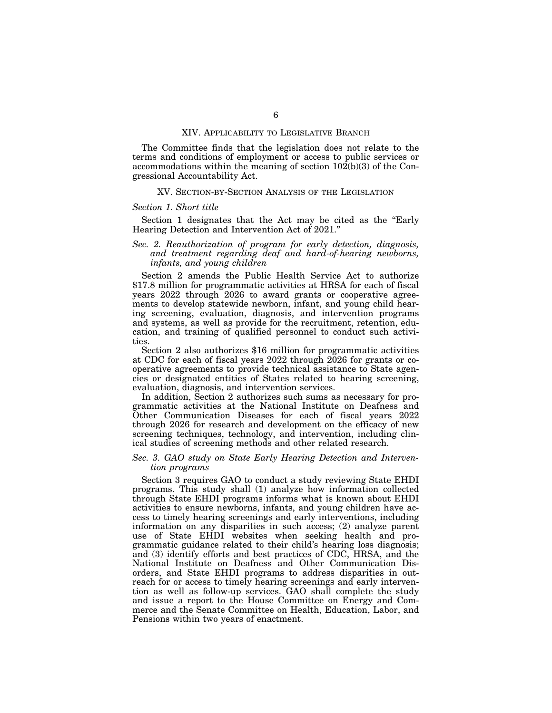### XIV. APPLICABILITY TO LEGISLATIVE BRANCH

The Committee finds that the legislation does not relate to the terms and conditions of employment or access to public services or accommodations within the meaning of section 102(b)(3) of the Congressional Accountability Act.

### XV. SECTION-BY-SECTION ANALYSIS OF THE LEGISLATION

### *Section 1. Short title*

Section 1 designates that the Act may be cited as the "Early Hearing Detection and Intervention Act of 2021.''

### *Sec. 2. Reauthorization of program for early detection, diagnosis, and treatment regarding deaf and hard-of-hearing newborns, infants, and young children*

Section 2 amends the Public Health Service Act to authorize \$17.8 million for programmatic activities at HRSA for each of fiscal years 2022 through 2026 to award grants or cooperative agreements to develop statewide newborn, infant, and young child hearing screening, evaluation, diagnosis, and intervention programs and systems, as well as provide for the recruitment, retention, education, and training of qualified personnel to conduct such activities.

Section 2 also authorizes \$16 million for programmatic activities at CDC for each of fiscal years 2022 through 2026 for grants or cooperative agreements to provide technical assistance to State agencies or designated entities of States related to hearing screening, evaluation, diagnosis, and intervention services.

In addition, Section 2 authorizes such sums as necessary for programmatic activities at the National Institute on Deafness and Other Communication Diseases for each of fiscal years 2022 through 2026 for research and development on the efficacy of new screening techniques, technology, and intervention, including clinical studies of screening methods and other related research.

### *Sec. 3. GAO study on State Early Hearing Detection and Intervention programs*

Section 3 requires GAO to conduct a study reviewing State EHDI programs. This study shall (1) analyze how information collected through State EHDI programs informs what is known about EHDI activities to ensure newborns, infants, and young children have access to timely hearing screenings and early interventions, including information on any disparities in such access; (2) analyze parent use of State EHDI websites when seeking health and programmatic guidance related to their child's hearing loss diagnosis; and (3) identify efforts and best practices of CDC, HRSA, and the National Institute on Deafness and Other Communication Disorders, and State EHDI programs to address disparities in outreach for or access to timely hearing screenings and early intervention as well as follow-up services. GAO shall complete the study and issue a report to the House Committee on Energy and Commerce and the Senate Committee on Health, Education, Labor, and Pensions within two years of enactment.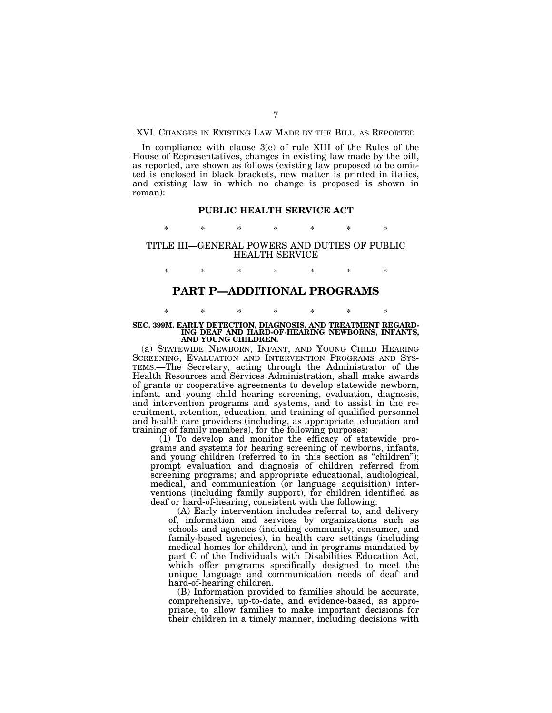XVI. CHANGES IN EXISTING LAW MADE BY THE BILL, AS REPORTED

In compliance with clause 3(e) of rule XIII of the Rules of the House of Representatives, changes in existing law made by the bill, as reported, are shown as follows (existing law proposed to be omitted is enclosed in black brackets, new matter is printed in italics, and existing law in which no change is proposed is shown in roman):

### **PUBLIC HEALTH SERVICE ACT**

\* \* \* \* \* \* \*

### TITLE III—GENERAL POWERS AND DUTIES OF PUBLIC HEALTH SERVICE

\* \* \* \* \* \* \*

## **PART P—ADDITIONAL PROGRAMS**

### \* \* \* \* \* \* \* **SEC. 399M. EARLY DETECTION, DIAGNOSIS, AND TREATMENT REGARD-ING DEAF AND HARD-OF-HEARING NEWBORNS, INFANTS, AND YOUNG CHILDREN.**

(a) STATEWIDE NEWBORN, INFANT, AND YOUNG CHILD HEARING SCREENING, EVALUATION AND INTERVENTION PROGRAMS AND SYS-TEMS.—The Secretary, acting through the Administrator of the Health Resources and Services Administration, shall make awards of grants or cooperative agreements to develop statewide newborn, infant, and young child hearing screening, evaluation, diagnosis, and intervention programs and systems, and to assist in the recruitment, retention, education, and training of qualified personnel and health care providers (including, as appropriate, education and training of family members), for the following purposes:

(1) To develop and monitor the efficacy of statewide programs and systems for hearing screening of newborns, infants, and young children (referred to in this section as "children"); prompt evaluation and diagnosis of children referred from screening programs; and appropriate educational, audiological, medical, and communication (or language acquisition) interventions (including family support), for children identified as deaf or hard-of-hearing, consistent with the following:

(A) Early intervention includes referral to, and delivery of, information and services by organizations such as schools and agencies (including community, consumer, and family-based agencies), in health care settings (including medical homes for children), and in programs mandated by part C of the Individuals with Disabilities Education Act, which offer programs specifically designed to meet the unique language and communication needs of deaf and hard-of-hearing children.

(B) Information provided to families should be accurate, comprehensive, up-to-date, and evidence-based, as appropriate, to allow families to make important decisions for their children in a timely manner, including decisions with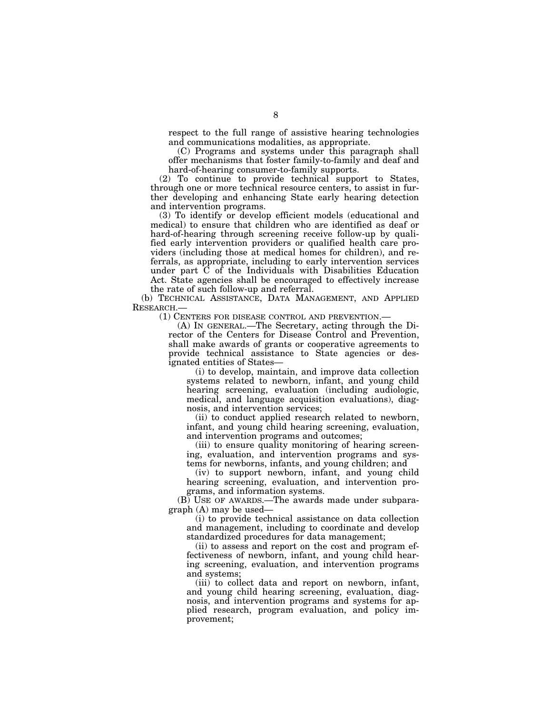respect to the full range of assistive hearing technologies and communications modalities, as appropriate.

(C) Programs and systems under this paragraph shall offer mechanisms that foster family-to-family and deaf and hard-of-hearing consumer-to-family supports.

(2) To continue to provide technical support to States, through one or more technical resource centers, to assist in further developing and enhancing State early hearing detection and intervention programs.

(3) To identify or develop efficient models (educational and medical) to ensure that children who are identified as deaf or hard-of-hearing through screening receive follow-up by qualified early intervention providers or qualified health care providers (including those at medical homes for children), and referrals, as appropriate, including to early intervention services under part C of the Individuals with Disabilities Education Act. State agencies shall be encouraged to effectively increase the rate of such follow-up and referral.

(b) TECHNICAL ASSISTANCE, DATA MANAGEMENT, AND APPLIED RESEARCH.—

(1) CENTERS FOR DISEASE CONTROL AND PREVENTION.—

(A) IN GENERAL.—The Secretary, acting through the Director of the Centers for Disease Control and Prevention, shall make awards of grants or cooperative agreements to provide technical assistance to State agencies or designated entities of States—

(i) to develop, maintain, and improve data collection systems related to newborn, infant, and young child hearing screening, evaluation (including audiologic, medical, and language acquisition evaluations), diagnosis, and intervention services;

(ii) to conduct applied research related to newborn, infant, and young child hearing screening, evaluation, and intervention programs and outcomes;

(iii) to ensure quality monitoring of hearing screening, evaluation, and intervention programs and systems for newborns, infants, and young children; and

(iv) to support newborn, infant, and young child hearing screening, evaluation, and intervention programs, and information systems.

(B) USE OF AWARDS.—The awards made under subparagraph (A) may be used—

(i) to provide technical assistance on data collection and management, including to coordinate and develop standardized procedures for data management;

(ii) to assess and report on the cost and program effectiveness of newborn, infant, and young child hearing screening, evaluation, and intervention programs and systems;

(iii) to collect data and report on newborn, infant, and young child hearing screening, evaluation, diagnosis, and intervention programs and systems for applied research, program evaluation, and policy improvement;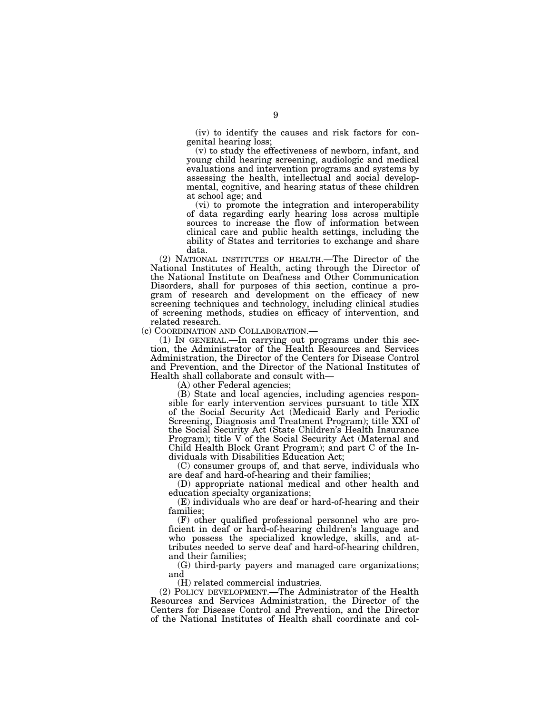(iv) to identify the causes and risk factors for congenital hearing loss;

(v) to study the effectiveness of newborn, infant, and young child hearing screening, audiologic and medical evaluations and intervention programs and systems by assessing the health, intellectual and social developmental, cognitive, and hearing status of these children at school age; and

(vi) to promote the integration and interoperability of data regarding early hearing loss across multiple sources to increase the flow of information between clinical care and public health settings, including the ability of States and territories to exchange and share data.

(2) NATIONAL INSTITUTES OF HEALTH.—The Director of the National Institutes of Health, acting through the Director of the National Institute on Deafness and Other Communication Disorders, shall for purposes of this section, continue a program of research and development on the efficacy of new screening techniques and technology, including clinical studies of screening methods, studies on efficacy of intervention, and related research.<br>(c) COORDINATION AND COLLABORATION.—

(1) IN GENERAL.—In carrying out programs under this section, the Administrator of the Health Resources and Services Administration, the Director of the Centers for Disease Control and Prevention, and the Director of the National Institutes of Health shall collaborate and consult with—

(A) other Federal agencies;

(B) State and local agencies, including agencies responsible for early intervention services pursuant to title XIX of the Social Security Act (Medicaid Early and Periodic Screening, Diagnosis and Treatment Program); title XXI of the Social Security Act (State Children's Health Insurance Program); title V of the Social Security Act (Maternal and Child Health Block Grant Program); and part C of the Individuals with Disabilities Education Act;

(C) consumer groups of, and that serve, individuals who are deaf and hard-of-hearing and their families;

(D) appropriate national medical and other health and education specialty organizations;

(E) individuals who are deaf or hard-of-hearing and their families;

(F) other qualified professional personnel who are proficient in deaf or hard-of-hearing children's language and who possess the specialized knowledge, skills, and attributes needed to serve deaf and hard-of-hearing children, and their families;

(G) third-party payers and managed care organizations; and

(H) related commercial industries.

(2) POLICY DEVELOPMENT.—The Administrator of the Health Resources and Services Administration, the Director of the Centers for Disease Control and Prevention, and the Director of the National Institutes of Health shall coordinate and col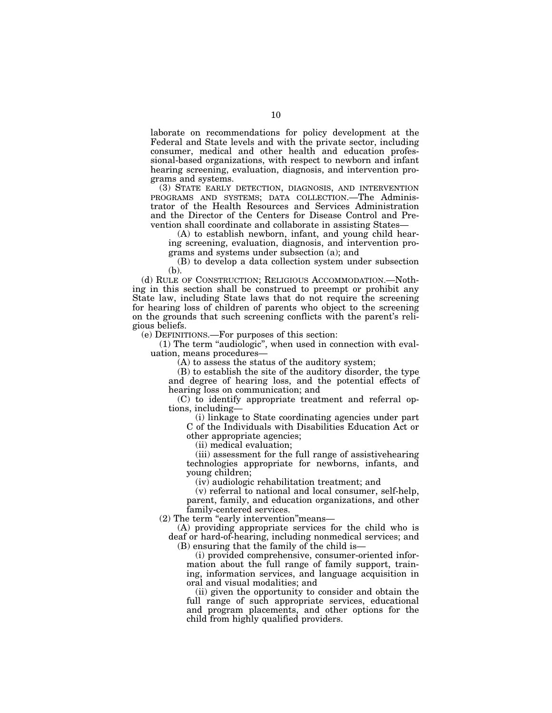laborate on recommendations for policy development at the Federal and State levels and with the private sector, including consumer, medical and other health and education professional-based organizations, with respect to newborn and infant hearing screening, evaluation, diagnosis, and intervention programs and systems.

(3) STATE EARLY DETECTION, DIAGNOSIS, AND INTERVENTION PROGRAMS AND SYSTEMS; DATA COLLECTION.—The Administrator of the Health Resources and Services Administration and the Director of the Centers for Disease Control and Prevention shall coordinate and collaborate in assisting States—

(A) to establish newborn, infant, and young child hearing screening, evaluation, diagnosis, and intervention programs and systems under subsection (a); and

(B) to develop a data collection system under subsection (b).

(d) RULE OF CONSTRUCTION; RELIGIOUS ACCOMMODATION.—Nothing in this section shall be construed to preempt or prohibit any State law, including State laws that do not require the screening for hearing loss of children of parents who object to the screening on the grounds that such screening conflicts with the parent's religious beliefs.

(e) DEFINITIONS.—For purposes of this section:

(1) The term ''audiologic'', when used in connection with evaluation, means procedures—

(A) to assess the status of the auditory system;

(B) to establish the site of the auditory disorder, the type and degree of hearing loss, and the potential effects of hearing loss on communication; and

(C) to identify appropriate treatment and referral options, including—

(i) linkage to State coordinating agencies under part C of the Individuals with Disabilities Education Act or other appropriate agencies;

(ii) medical evaluation;

(iii) assessment for the full range of assistivehearing technologies appropriate for newborns, infants, and young children;

(iv) audiologic rehabilitation treatment; and

(v) referral to national and local consumer, self-help, parent, family, and education organizations, and other family-centered services.

(2) The term "early intervention" means-

(A) providing appropriate services for the child who is deaf or hard-of-hearing, including nonmedical services; and (B) ensuring that the family of the child is—

(i) provided comprehensive, consumer-oriented information about the full range of family support, training, information services, and language acquisition in oral and visual modalities; and

(ii) given the opportunity to consider and obtain the full range of such appropriate services, educational and program placements, and other options for the child from highly qualified providers.